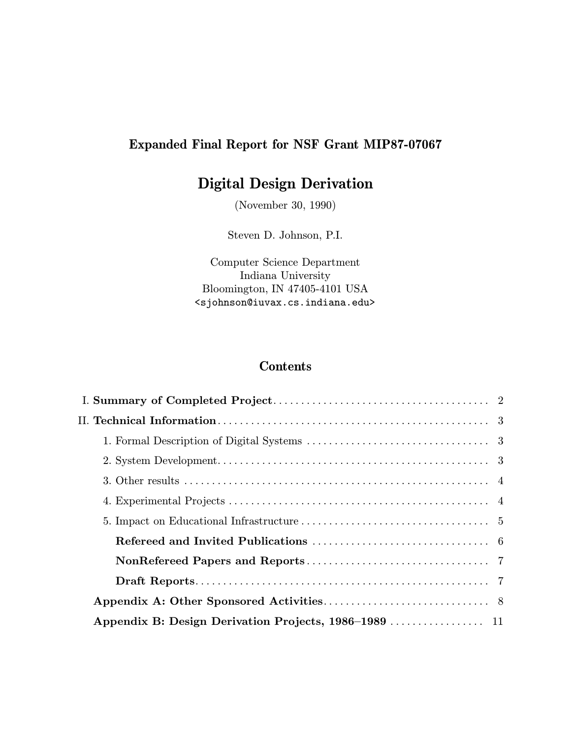# Expanded Final Report for NSF Grant MIP87-07067

# Digital Design Derivation

(November 30, 1990)

Steven D. Johnson, P.I.

Computer Science Department Indiana University Bloomington, IN 47405-4101 USA <sjohnson@iuvax.cs.indiana.edu>

# Contents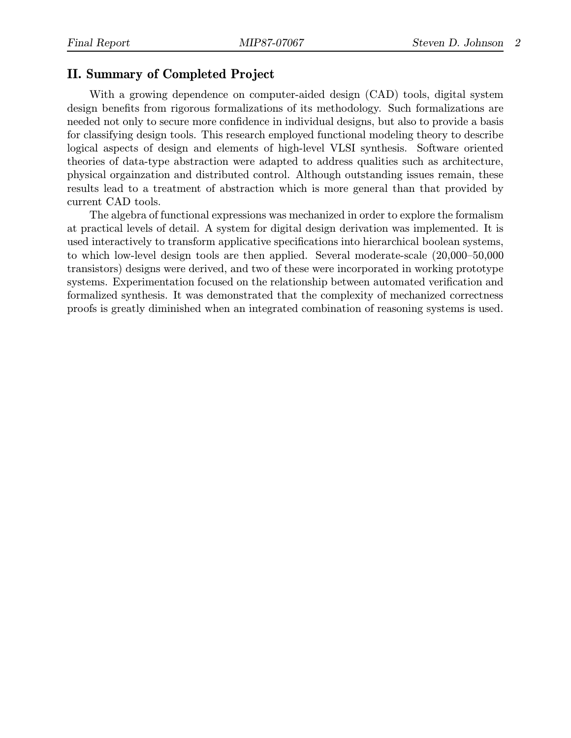### II. Summary of Completed Project

With a growing dependence on computer-aided design (CAD) tools, digital system design benefits from rigorous formalizations of its methodology. Such formalizations are needed not only to secure more confidence in individual designs, but also to provide a basis for classifying design tools. This research employed functional modeling theory to describe logical aspects of design and elements of high-level VLSI synthesis. Software oriented theories of data-type abstraction were adapted to address qualities such as architecture, physical orgainzation and distributed control. Although outstanding issues remain, these results lead to a treatment of abstraction which is more general than that provided by current CAD tools.

The algebra of functional expressions was mechanized in order to explore the formalism at practical levels of detail. A system for digital design derivation was implemented. It is used interactively to transform applicative specifications into hierarchical boolean systems, to which low-level design tools are then applied. Several moderate-scale (20,000–50,000 transistors) designs were derived, and two of these were incorporated in working prototype systems. Experimentation focused on the relationship between automated verification and formalized synthesis. It was demonstrated that the complexity of mechanized correctness proofs is greatly diminished when an integrated combination of reasoning systems is used.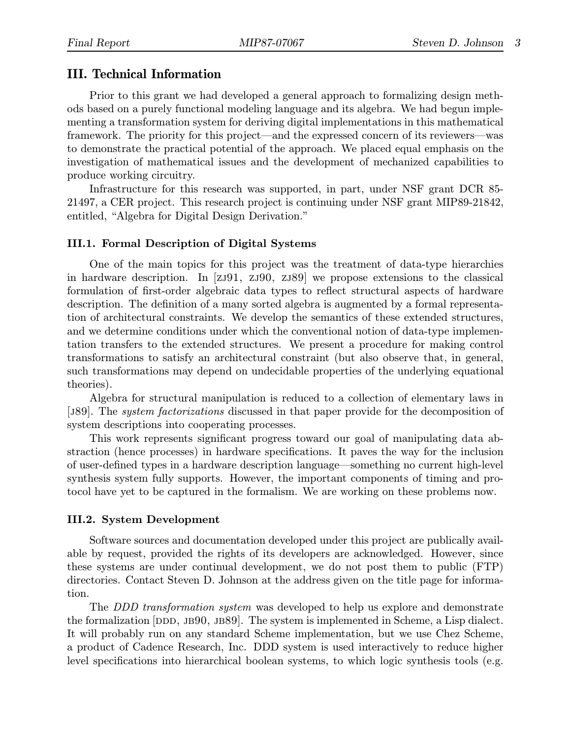### III. Technical Information

Prior to this grant we had developed a general approach to formalizing design methods based on a purely functional modeling language and its algebra. We had begun implementing a transformation system for deriving digital implementations in this mathematical framework. The priority for this project—and the expressed concern of its reviewers—was to demonstrate the practical potential of the approach. We placed equal emphasis on the investigation of mathematical issues and the development of mechanized capabilities to produce working circuitry.

Infrastructure for this research was supported, in part, under NSF grant DCR 85- 21497, a CER project. This research project is continuing under NSF grant MIP89-21842, entitled, "Algebra for Digital Design Derivation."

#### III.1. Formal Description of Digital Systems

One of the main topics for this project was the treatment of data-type hierarchies in hardware description. In [zj91, zj90, zj89] we propose extensions to the classical formulation of first-order algebraic data types to reflect structural aspects of hardware description. The definition of a many sorted algebra is augmented by a formal representation of architectural constraints. We develop the semantics of these extended structures, and we determine conditions under which the conventional notion of data-type implementation transfers to the extended structures. We present a procedure for making control transformations to satisfy an architectural constraint (but also observe that, in general, such transformations may depend on undecidable properties of the underlying equational theories).

Algebra for structural manipulation is reduced to a collection of elementary laws in [j89]. The system factorizations discussed in that paper provide for the decomposition of system descriptions into cooperating processes.

This work represents significant progress toward our goal of manipulating data abstraction (hence processes) in hardware specifications. It paves the way for the inclusion of user-defined types in a hardware description language—something no current high-level synthesis system fully supports. However, the important components of timing and protocol have yet to be captured in the formalism. We are working on these problems now.

#### III.2. System Development

Software sources and documentation developed under this project are publically available by request, provided the rights of its developers are acknowledged. However, since these systems are under continual development, we do not post them to public (FTP) directories. Contact Steven D. Johnson at the address given on the title page for information.

The *DDD transformation system* was developed to help us explore and demonstrate the formalization  $[DDD, JB90, JB89]$ . The system is implemented in Scheme, a Lisp dialect. It will probably run on any standard Scheme implementation, but we use Chez Scheme, a product of Cadence Research, Inc. DDD system is used interactively to reduce higher level specifications into hierarchical boolean systems, to which logic synthesis tools (e.g.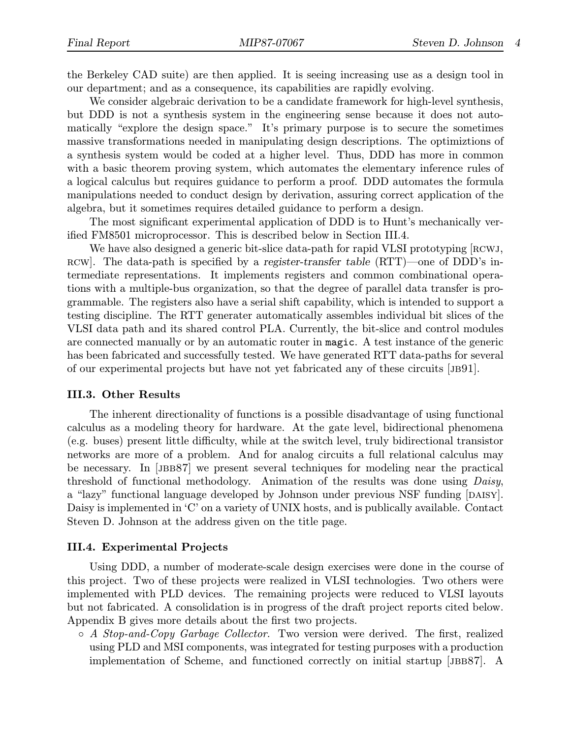the Berkeley CAD suite) are then applied. It is seeing increasing use as a design tool in our department; and as a consequence, its capabilities are rapidly evolving.

We consider algebraic derivation to be a candidate framework for high-level synthesis, but DDD is not a synthesis system in the engineering sense because it does not automatically "explore the design space." It's primary purpose is to secure the sometimes massive transformations needed in manipulating design descriptions. The optimiztions of a synthesis system would be coded at a higher level. Thus, DDD has more in common with a basic theorem proving system, which automates the elementary inference rules of a logical calculus but requires guidance to perform a proof. DDD automates the formula manipulations needed to conduct design by derivation, assuring correct application of the algebra, but it sometimes requires detailed guidance to perform a design.

The most significant experimental application of DDD is to Hunt's mechanically verified FM8501 microprocessor. This is described below in Section III.4.

We have also designed a generic bit-slice data-path for rapid VLSI prototyping [RCWJ, rcw]. The data-path is specified by a register-transfer table (RTT)—one of DDD's intermediate representations. It implements registers and common combinational operations with a multiple-bus organization, so that the degree of parallel data transfer is programmable. The registers also have a serial shift capability, which is intended to support a testing discipline. The RTT generater automatically assembles individual bit slices of the VLSI data path and its shared control PLA. Currently, the bit-slice and control modules are connected manually or by an automatic router in magic. A test instance of the generic has been fabricated and successfully tested. We have generated RTT data-paths for several of our experimental projects but have not yet fabricated any of these circuits [jb91].

#### III.3. Other Results

The inherent directionality of functions is a possible disadvantage of using functional calculus as a modeling theory for hardware. At the gate level, bidirectional phenomena (e.g. buses) present little difficulty, while at the switch level, truly bidirectional transistor networks are more of a problem. And for analog circuits a full relational calculus may be necessary. In [jbb87] we present several techniques for modeling near the practical threshold of functional methodology. Animation of the results was done using Daisy, a "lazy" functional language developed by Johnson under previous NSF funding [DAISY]. Daisy is implemented in 'C' on a variety of UNIX hosts, and is publically available. Contact Steven D. Johnson at the address given on the title page.

#### III.4. Experimental Projects

Using DDD, a number of moderate-scale design exercises were done in the course of this project. Two of these projects were realized in VLSI technologies. Two others were implemented with PLD devices. The remaining projects were reduced to VLSI layouts but not fabricated. A consolidation is in progress of the draft project reports cited below. Appendix B gives more details about the first two projects.

 $\circ$  A Stop-and-Copy Garbage Collector. Two version were derived. The first, realized using PLD and MSI components, was integrated for testing purposes with a production implementation of Scheme, and functioned correctly on initial startup [JBB87]. A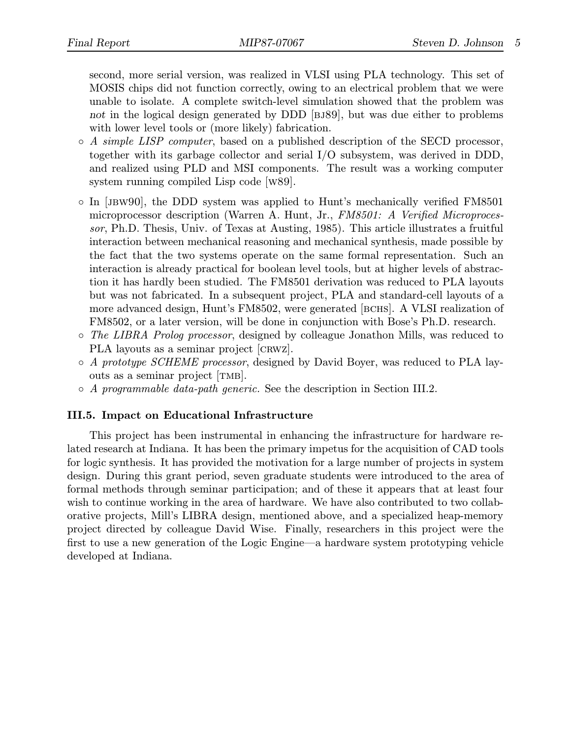second, more serial version, was realized in VLSI using PLA technology. This set of MOSIS chips did not function correctly, owing to an electrical problem that we were unable to isolate. A complete switch-level simulation showed that the problem was not in the logical design generated by DDD [BJ89], but was due either to problems with lower level tools or (more likely) fabrication.

- $\circ$  A simple LISP computer, based on a published description of the SECD processor, together with its garbage collector and serial I/O subsystem, was derived in DDD, and realized using PLD and MSI components. The result was a working computer system running compiled Lisp code [w89].
- In [jbw90], the DDD system was applied to Hunt's mechanically verified FM8501 microprocessor description (Warren A. Hunt, Jr., FM8501: A Verified Microprocessor, Ph.D. Thesis, Univ. of Texas at Austing, 1985). This article illustrates a fruitful interaction between mechanical reasoning and mechanical synthesis, made possible by the fact that the two systems operate on the same formal representation. Such an interaction is already practical for boolean level tools, but at higher levels of abstraction it has hardly been studied. The FM8501 derivation was reduced to PLA layouts but was not fabricated. In a subsequent project, PLA and standard-cell layouts of a more advanced design, Hunt's FM8502, were generated [BCHS]. A VLSI realization of FM8502, or a later version, will be done in conjunction with Bose's Ph.D. research.
- The LIBRA Prolog processor, designed by colleague Jonathon Mills, was reduced to PLA layouts as a seminar project [CRWZ].
- A prototype SCHEME processor, designed by David Boyer, was reduced to PLA layouts as a seminar project [tmb].
- A programmable data-path generic. See the description in Section III.2.

### III.5. Impact on Educational Infrastructure

This project has been instrumental in enhancing the infrastructure for hardware related research at Indiana. It has been the primary impetus for the acquisition of CAD tools for logic synthesis. It has provided the motivation for a large number of projects in system design. During this grant period, seven graduate students were introduced to the area of formal methods through seminar participation; and of these it appears that at least four wish to continue working in the area of hardware. We have also contributed to two collaborative projects, Mill's LIBRA design, mentioned above, and a specialized heap-memory project directed by colleague David Wise. Finally, researchers in this project were the first to use a new generation of the Logic Engine—a hardware system prototyping vehicle developed at Indiana.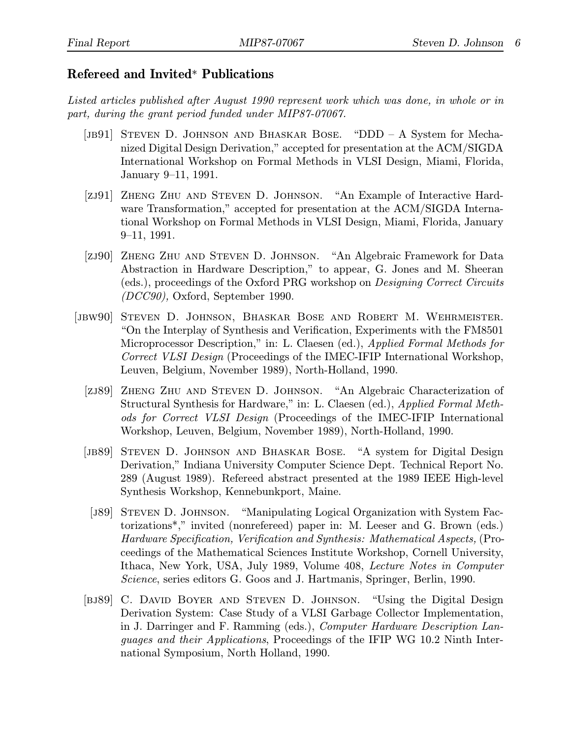## Refereed and Invited\* Publications

Listed articles published after August 1990 represent work which was done, in whole or in part, during the grant period funded under MIP87-07067.

- [jb91] Steven D. Johnson and Bhaskar Bose. "DDD A System for Mechanized Digital Design Derivation," accepted for presentation at the ACM/SIGDA International Workshop on Formal Methods in VLSI Design, Miami, Florida, January 9–11, 1991.
- [zj91] Zheng Zhu and Steven D. Johnson. "An Example of Interactive Hardware Transformation," accepted for presentation at the ACM/SIGDA International Workshop on Formal Methods in VLSI Design, Miami, Florida, January 9–11, 1991.
- [zj90] Zheng Zhu and Steven D. Johnson. "An Algebraic Framework for Data Abstraction in Hardware Description," to appear, G. Jones and M. Sheeran (eds.), proceedings of the Oxford PRG workshop on Designing Correct Circuits (DCC90), Oxford, September 1990.
- [jbw90] Steven D. Johnson, Bhaskar Bose and Robert M. Wehrmeister. "On the Interplay of Synthesis and Verification, Experiments with the FM8501 Microprocessor Description," in: L. Claesen (ed.), Applied Formal Methods for Correct VLSI Design (Proceedings of the IMEC-IFIP International Workshop, Leuven, Belgium, November 1989), North-Holland, 1990.
	- [zj89] Zheng Zhu and Steven D. Johnson. "An Algebraic Characterization of Structural Synthesis for Hardware," in: L. Claesen (ed.), Applied Formal Methods for Correct VLSI Design (Proceedings of the IMEC-IFIP International Workshop, Leuven, Belgium, November 1989), North-Holland, 1990.
	- [jb89] Steven D. Johnson and Bhaskar Bose. "A system for Digital Design Derivation," Indiana University Computer Science Dept. Technical Report No. 289 (August 1989). Refereed abstract presented at the 1989 IEEE High-level Synthesis Workshop, Kennebunkport, Maine.
	- [J89] STEVEN D. JOHNSON. "Manipulating Logical Organization with System Factorizations\*," invited (nonrefereed) paper in: M. Leeser and G. Brown (eds.) Hardware Specification, Verification and Synthesis: Mathematical Aspects, (Proceedings of the Mathematical Sciences Institute Workshop, Cornell University, Ithaca, New York, USA, July 1989, Volume 408, Lecture Notes in Computer Science, series editors G. Goos and J. Hartmanis, Springer, Berlin, 1990.
	- [BJ89] C. DAVID BOYER AND STEVEN D. JOHNSON. "Using the Digital Design Derivation System: Case Study of a VLSI Garbage Collector Implementation, in J. Darringer and F. Ramming (eds.), Computer Hardware Description Languages and their Applications, Proceedings of the IFIP WG 10.2 Ninth International Symposium, North Holland, 1990.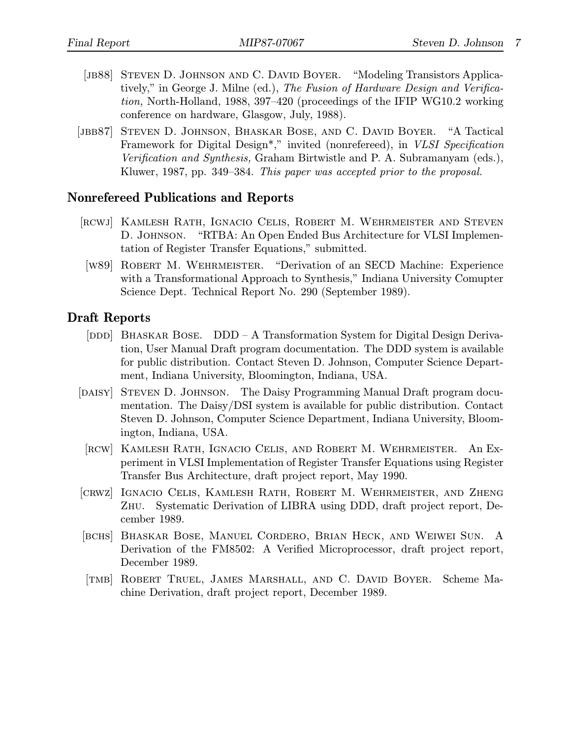- [JB88] STEVEN D. JOHNSON AND C. DAVID BOYER. "Modeling Transistors Applicatively," in George J. Milne (ed.), The Fusion of Hardware Design and Verification, North-Holland, 1988, 397–420 (proceedings of the IFIP WG10.2 working conference on hardware, Glasgow, July, 1988).
- [JBB87] STEVEN D. JOHNSON, BHASKAR BOSE, AND C. DAVID BOYER. "A Tactical Framework for Digital Design\*," invited (nonrefereed), in VLSI Specification Verification and Synthesis, Graham Birtwistle and P. A. Subramanyam (eds.), Kluwer, 1987, pp. 349–384. This paper was accepted prior to the proposal.

### Nonrefereed Publications and Reports

- [rcwj] Kamlesh Rath, Ignacio Celis, Robert M. Wehrmeister and Steven D. Johnson. "RTBA: An Open Ended Bus Architecture for VLSI Implementation of Register Transfer Equations," submitted.
- [w89] Robert M. Wehrmeister. "Derivation of an SECD Machine: Experience with a Transformational Approach to Synthesis," Indiana University Comupter Science Dept. Technical Report No. 290 (September 1989).

## Draft Reports

- [DDD] BHASKAR BOSE.  $DDD A$  Transformation System for Digital Design Derivation, User Manual Draft program documentation. The DDD system is available for public distribution. Contact Steven D. Johnson, Computer Science Department, Indiana University, Bloomington, Indiana, USA.
- [DAISY] STEVEN D. JOHNSON. The Daisy Programming Manual Draft program documentation. The Daisy/DSI system is available for public distribution. Contact Steven D. Johnson, Computer Science Department, Indiana University, Bloomington, Indiana, USA.
- [rcw] Kamlesh Rath, Ignacio Celis, and Robert M. Wehrmeister. An Experiment in VLSI Implementation of Register Transfer Equations using Register Transfer Bus Architecture, draft project report, May 1990.
- [crwz] Ignacio Celis, Kamlesh Rath, Robert M. Wehrmeister, and Zheng Zhu. Systematic Derivation of LIBRA using DDD, draft project report, December 1989.
- [bchs] Bhaskar Bose, Manuel Cordero, Brian Heck, and Weiwei Sun. A Derivation of the FM8502: A Verified Microprocessor, draft project report, December 1989.
- [tmb] Robert Truel, James Marshall, and C. David Boyer. Scheme Machine Derivation, draft project report, December 1989.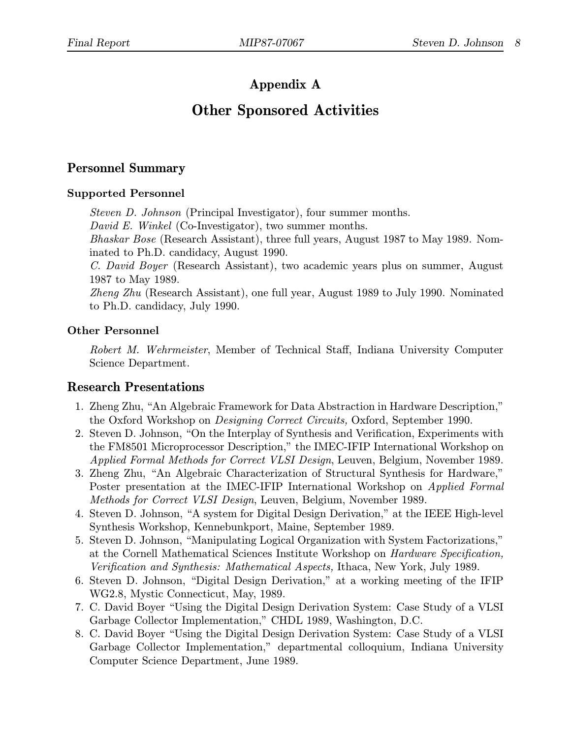# Appendix A

# Other Sponsored Activities

# Personnel Summary

## Supported Personnel

Steven D. Johnson (Principal Investigator), four summer months.

David E. Winkel (Co-Investigator), two summer months.

Bhaskar Bose (Research Assistant), three full years, August 1987 to May 1989. Nominated to Ph.D. candidacy, August 1990.

C. David Boyer (Research Assistant), two academic years plus on summer, August 1987 to May 1989.

Zheng Zhu (Research Assistant), one full year, August 1989 to July 1990. Nominated to Ph.D. candidacy, July 1990.

## Other Personnel

Robert M. Wehrmeister, Member of Technical Staff, Indiana University Computer Science Department.

## Research Presentations

- 1. Zheng Zhu, "An Algebraic Framework for Data Abstraction in Hardware Description," the Oxford Workshop on Designing Correct Circuits, Oxford, September 1990.
- 2. Steven D. Johnson, "On the Interplay of Synthesis and Verification, Experiments with the FM8501 Microprocessor Description," the IMEC-IFIP International Workshop on Applied Formal Methods for Correct VLSI Design, Leuven, Belgium, November 1989.
- 3. Zheng Zhu, "An Algebraic Characterization of Structural Synthesis for Hardware," Poster presentation at the IMEC-IFIP International Workshop on Applied Formal Methods for Correct VLSI Design, Leuven, Belgium, November 1989.
- 4. Steven D. Johnson, "A system for Digital Design Derivation," at the IEEE High-level Synthesis Workshop, Kennebunkport, Maine, September 1989.
- 5. Steven D. Johnson, "Manipulating Logical Organization with System Factorizations," at the Cornell Mathematical Sciences Institute Workshop on Hardware Specification, Verification and Synthesis: Mathematical Aspects, Ithaca, New York, July 1989.
- 6. Steven D. Johnson, "Digital Design Derivation," at a working meeting of the IFIP WG2.8, Mystic Connecticut, May, 1989.
- 7. C. David Boyer "Using the Digital Design Derivation System: Case Study of a VLSI Garbage Collector Implementation," CHDL 1989, Washington, D.C.
- 8. C. David Boyer "Using the Digital Design Derivation System: Case Study of a VLSI Garbage Collector Implementation," departmental colloquium, Indiana University Computer Science Department, June 1989.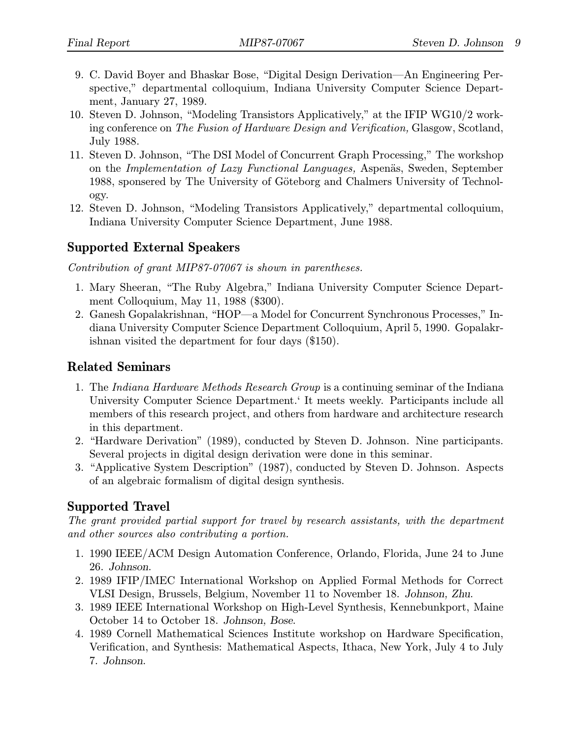- 9. C. David Boyer and Bhaskar Bose, "Digital Design Derivation—An Engineering Perspective," departmental colloquium, Indiana University Computer Science Department, January 27, 1989.
- 10. Steven D. Johnson, "Modeling Transistors Applicatively," at the IFIP WG10/2 working conference on The Fusion of Hardware Design and Verification, Glasgow, Scotland, July 1988.
- 11. Steven D. Johnson, "The DSI Model of Concurrent Graph Processing," The workshop on the Implementation of Lazy Functional Languages, Aspenäs, Sweden, September 1988, sponsered by The University of Göteborg and Chalmers University of Technology.
- 12. Steven D. Johnson, "Modeling Transistors Applicatively," departmental colloquium, Indiana University Computer Science Department, June 1988.

## Supported External Speakers

Contribution of grant MIP87-07067 is shown in parentheses.

- 1. Mary Sheeran, "The Ruby Algebra," Indiana University Computer Science Department Colloquium, May 11, 1988 (\$300).
- 2. Ganesh Gopalakrishnan, "HOP—a Model for Concurrent Synchronous Processes," Indiana University Computer Science Department Colloquium, April 5, 1990. Gopalakrishnan visited the department for four days (\$150).

# Related Seminars

- 1. The Indiana Hardware Methods Research Group is a continuing seminar of the Indiana University Computer Science Department.' It meets weekly. Participants include all members of this research project, and others from hardware and architecture research in this department.
- 2. "Hardware Derivation" (1989), conducted by Steven D. Johnson. Nine participants. Several projects in digital design derivation were done in this seminar.
- 3. "Applicative System Description" (1987), conducted by Steven D. Johnson. Aspects of an algebraic formalism of digital design synthesis.

# Supported Travel

The grant provided partial support for travel by research assistants, with the department and other sources also contributing a portion.

- 1. 1990 IEEE/ACM Design Automation Conference, Orlando, Florida, June 24 to June 26. Johnson.
- 2. 1989 IFIP/IMEC International Workshop on Applied Formal Methods for Correct VLSI Design, Brussels, Belgium, November 11 to November 18. Johnson, Zhu.
- 3. 1989 IEEE International Workshop on High-Level Synthesis, Kennebunkport, Maine October 14 to October 18. Johnson, Bose.
- 4. 1989 Cornell Mathematical Sciences Institute workshop on Hardware Specification, Verification, and Synthesis: Mathematical Aspects, Ithaca, New York, July 4 to July 7. Johnson.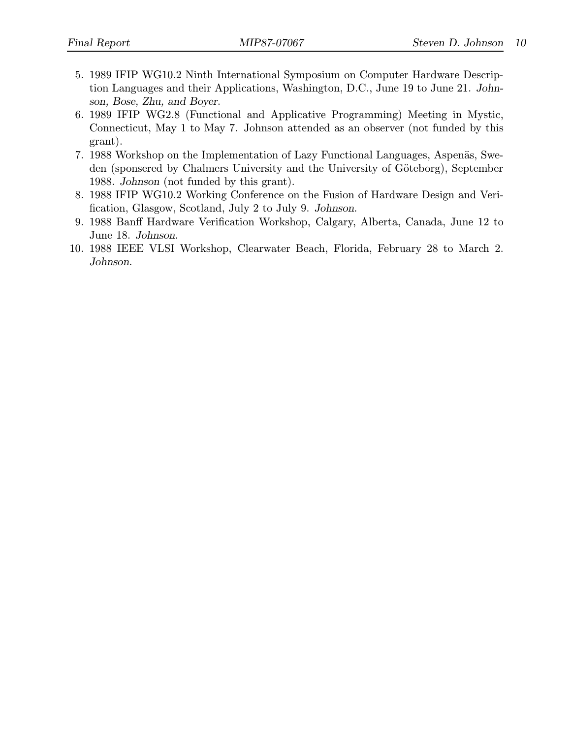- 5. 1989 IFIP WG10.2 Ninth International Symposium on Computer Hardware Description Languages and their Applications, Washington, D.C., June 19 to June 21. Johnson, Bose, Zhu, and Boyer.
- 6. 1989 IFIP WG2.8 (Functional and Applicative Programming) Meeting in Mystic, Connecticut, May 1 to May 7. Johnson attended as an observer (not funded by this grant).
- 7. 1988 Workshop on the Implementation of Lazy Functional Languages, Aspenäs, Sweden (sponsered by Chalmers University and the University of Göteborg), September 1988. Johnson (not funded by this grant).
- 8. 1988 IFIP WG10.2 Working Conference on the Fusion of Hardware Design and Verification, Glasgow, Scotland, July 2 to July 9. Johnson.
- 9. 1988 Banff Hardware Verification Workshop, Calgary, Alberta, Canada, June 12 to June 18. Johnson.
- 10. 1988 IEEE VLSI Workshop, Clearwater Beach, Florida, February 28 to March 2. Johnson.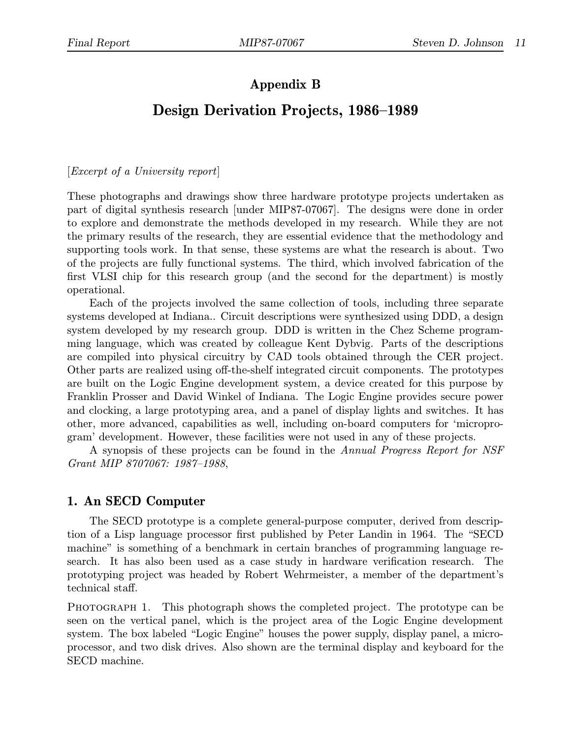# Appendix B

# Design Derivation Projects, 1986–1989

[Excerpt of a University report]

These photographs and drawings show three hardware prototype projects undertaken as part of digital synthesis research [under MIP87-07067]. The designs were done in order to explore and demonstrate the methods developed in my research. While they are not the primary results of the research, they are essential evidence that the methodology and supporting tools work. In that sense, these systems are what the research is about. Two of the projects are fully functional systems. The third, which involved fabrication of the first VLSI chip for this research group (and the second for the department) is mostly operational.

Each of the projects involved the same collection of tools, including three separate systems developed at Indiana.. Circuit descriptions were synthesized using DDD, a design system developed by my research group. DDD is written in the Chez Scheme programming language, which was created by colleague Kent Dybvig. Parts of the descriptions are compiled into physical circuitry by CAD tools obtained through the CER project. Other parts are realized using off-the-shelf integrated circuit components. The prototypes are built on the Logic Engine development system, a device created for this purpose by Franklin Prosser and David Winkel of Indiana. The Logic Engine provides secure power and clocking, a large prototyping area, and a panel of display lights and switches. It has other, more advanced, capabilities as well, including on-board computers for 'microprogram' development. However, these facilities were not used in any of these projects.

A synopsis of these projects can be found in the Annual Progress Report for NSF Grant MIP 8707067: 1987–1988,

## 1. An SECD Computer

The SECD prototype is a complete general-purpose computer, derived from description of a Lisp language processor first published by Peter Landin in 1964. The "SECD machine" is something of a benchmark in certain branches of programming language research. It has also been used as a case study in hardware verification research. The prototyping project was headed by Robert Wehrmeister, a member of the department's technical staff.

PHOTOGRAPH 1. This photograph shows the completed project. The prototype can be seen on the vertical panel, which is the project area of the Logic Engine development system. The box labeled "Logic Engine" houses the power supply, display panel, a microprocessor, and two disk drives. Also shown are the terminal display and keyboard for the SECD machine.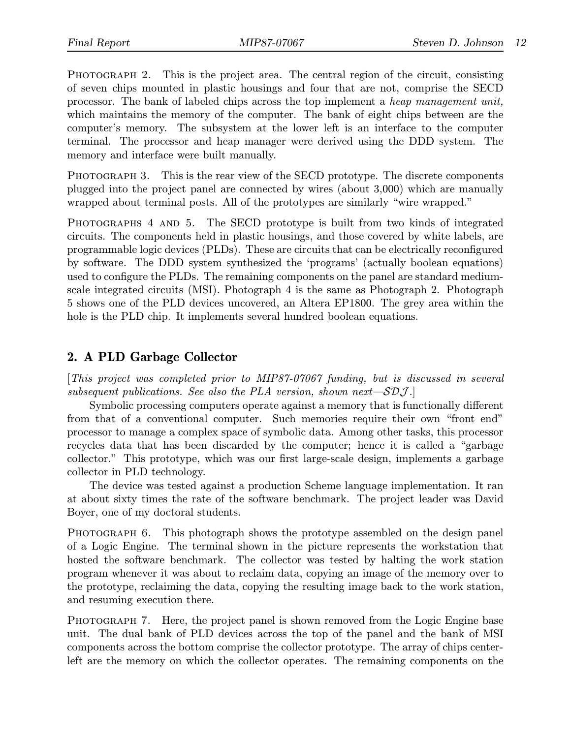PHOTOGRAPH 2. This is the project area. The central region of the circuit, consisting of seven chips mounted in plastic housings and four that are not, comprise the SECD processor. The bank of labeled chips across the top implement a heap management unit, which maintains the memory of the computer. The bank of eight chips between are the computer's memory. The subsystem at the lower left is an interface to the computer terminal. The processor and heap manager were derived using the DDD system. The memory and interface were built manually.

PHOTOGRAPH 3. This is the rear view of the SECD prototype. The discrete components plugged into the project panel are connected by wires (about 3,000) which are manually wrapped about terminal posts. All of the prototypes are similarly "wire wrapped."

PHOTOGRAPHS 4 AND 5. The SECD prototype is built from two kinds of integrated circuits. The components held in plastic housings, and those covered by white labels, are programmable logic devices (PLDs). These are circuits that can be electrically reconfigured by software. The DDD system synthesized the 'programs' (actually boolean equations) used to configure the PLDs. The remaining components on the panel are standard mediumscale integrated circuits (MSI). Photograph 4 is the same as Photograph 2. Photograph 5 shows one of the PLD devices uncovered, an Altera EP1800. The grey area within the hole is the PLD chip. It implements several hundred boolean equations.

## 2. A PLD Garbage Collector

[This project was completed prior to MIP87-07067 funding, but is discussed in several subsequent publications. See also the PLA version, shown next— $\mathcal{SDJ}.$ 

Symbolic processing computers operate against a memory that is functionally different from that of a conventional computer. Such memories require their own "front end" processor to manage a complex space of symbolic data. Among other tasks, this processor recycles data that has been discarded by the computer; hence it is called a "garbage collector." This prototype, which was our first large-scale design, implements a garbage collector in PLD technology.

The device was tested against a production Scheme language implementation. It ran at about sixty times the rate of the software benchmark. The project leader was David Boyer, one of my doctoral students.

PHOTOGRAPH 6. This photograph shows the prototype assembled on the design panel of a Logic Engine. The terminal shown in the picture represents the workstation that hosted the software benchmark. The collector was tested by halting the work station program whenever it was about to reclaim data, copying an image of the memory over to the prototype, reclaiming the data, copying the resulting image back to the work station, and resuming execution there.

PHOTOGRAPH 7. Here, the project panel is shown removed from the Logic Engine base unit. The dual bank of PLD devices across the top of the panel and the bank of MSI components across the bottom comprise the collector prototype. The array of chips centerleft are the memory on which the collector operates. The remaining components on the